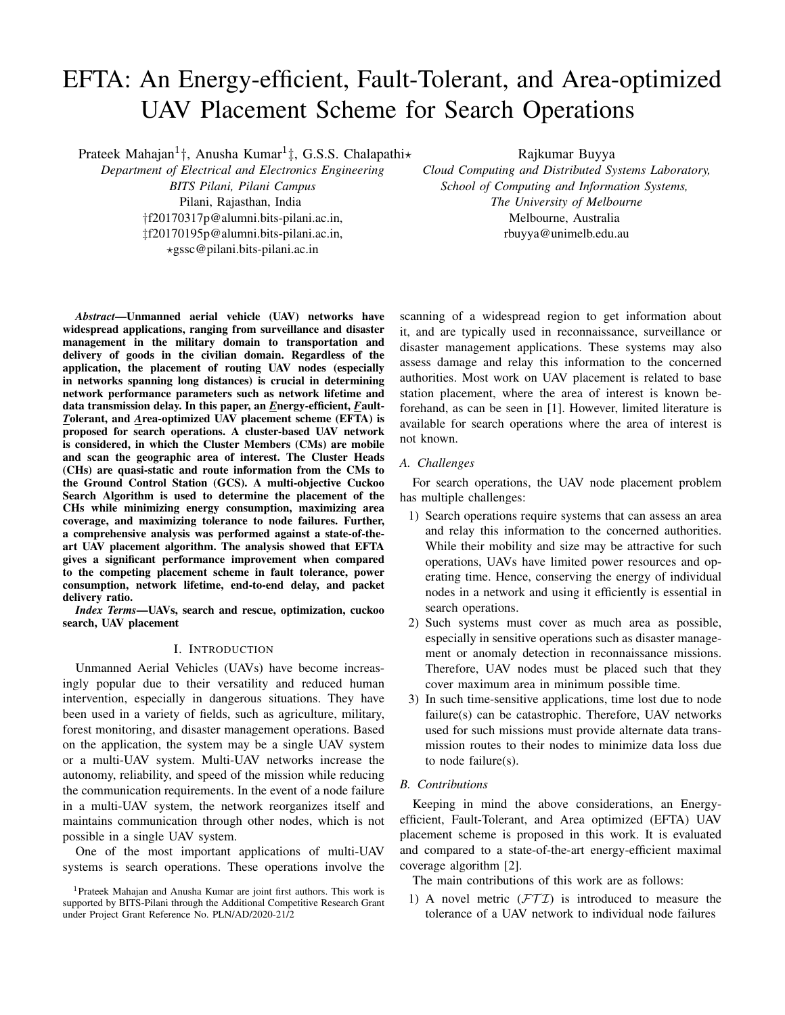# EFTA: An Energy-efficient, Fault-Tolerant, and Area-optimized UAV Placement Scheme for Search Operations

Prateek Mahajan<sup>1</sup>†, Anusha Kumar<sup>1</sup>‡, G.S.S. Chalapathi\*

*Department of Electrical and Electronics Engineering BITS Pilani, Pilani Campus* Pilani, Rajasthan, India †f20170317p@alumni.bits-pilani.ac.in, ‡f20170195p@alumni.bits-pilani.ac.in, ?gssc@pilani.bits-pilani.ac.in

Rajkumar Buyya

*Cloud Computing and Distributed Systems Laboratory, School of Computing and Information Systems, The University of Melbourne* Melbourne, Australia rbuyya@unimelb.edu.au

*Abstract*—Unmanned aerial vehicle (UAV) networks have widespread applications, ranging from surveillance and disaster management in the military domain to transportation and delivery of goods in the civilian domain. Regardless of the application, the placement of routing UAV nodes (especially in networks spanning long distances) is crucial in determining network performance parameters such as network lifetime and data transmission delay. In this paper, an *E*nergy-efficient, *F*ault-*T*olerant, and *A*rea-optimized UAV placement scheme (EFTA) is proposed for search operations. A cluster-based UAV network is considered, in which the Cluster Members (CMs) are mobile and scan the geographic area of interest. The Cluster Heads (CHs) are quasi-static and route information from the CMs to the Ground Control Station (GCS). A multi-objective Cuckoo Search Algorithm is used to determine the placement of the CHs while minimizing energy consumption, maximizing area coverage, and maximizing tolerance to node failures. Further, a comprehensive analysis was performed against a state-of-theart UAV placement algorithm. The analysis showed that EFTA gives a significant performance improvement when compared to the competing placement scheme in fault tolerance, power consumption, network lifetime, end-to-end delay, and packet delivery ratio.

*Index Terms*—UAVs, search and rescue, optimization, cuckoo search, UAV placement

# I. INTRODUCTION

Unmanned Aerial Vehicles (UAVs) have become increasingly popular due to their versatility and reduced human intervention, especially in dangerous situations. They have been used in a variety of fields, such as agriculture, military, forest monitoring, and disaster management operations. Based on the application, the system may be a single UAV system or a multi-UAV system. Multi-UAV networks increase the autonomy, reliability, and speed of the mission while reducing the communication requirements. In the event of a node failure in a multi-UAV system, the network reorganizes itself and maintains communication through other nodes, which is not possible in a single UAV system.

One of the most important applications of multi-UAV systems is search operations. These operations involve the scanning of a widespread region to get information about it, and are typically used in reconnaissance, surveillance or disaster management applications. These systems may also assess damage and relay this information to the concerned authorities. Most work on UAV placement is related to base station placement, where the area of interest is known beforehand, as can be seen in [1]. However, limited literature is available for search operations where the area of interest is not known.

# *A. Challenges*

For search operations, the UAV node placement problem has multiple challenges:

- 1) Search operations require systems that can assess an area and relay this information to the concerned authorities. While their mobility and size may be attractive for such operations, UAVs have limited power resources and operating time. Hence, conserving the energy of individual nodes in a network and using it efficiently is essential in search operations.
- 2) Such systems must cover as much area as possible, especially in sensitive operations such as disaster management or anomaly detection in reconnaissance missions. Therefore, UAV nodes must be placed such that they cover maximum area in minimum possible time.
- 3) In such time-sensitive applications, time lost due to node failure(s) can be catastrophic. Therefore, UAV networks used for such missions must provide alternate data transmission routes to their nodes to minimize data loss due to node failure(s).

## *B. Contributions*

Keeping in mind the above considerations, an Energyefficient, Fault-Tolerant, and Area optimized (EFTA) UAV placement scheme is proposed in this work. It is evaluated and compared to a state-of-the-art energy-efficient maximal coverage algorithm [2].

The main contributions of this work are as follows:

1) A novel metric  $(FTI)$  is introduced to measure the tolerance of a UAV network to individual node failures

<sup>&</sup>lt;sup>1</sup>Prateek Mahajan and Anusha Kumar are joint first authors. This work is supported by BITS-Pilani through the Additional Competitive Research Grant under Project Grant Reference No. PLN/AD/2020-21/2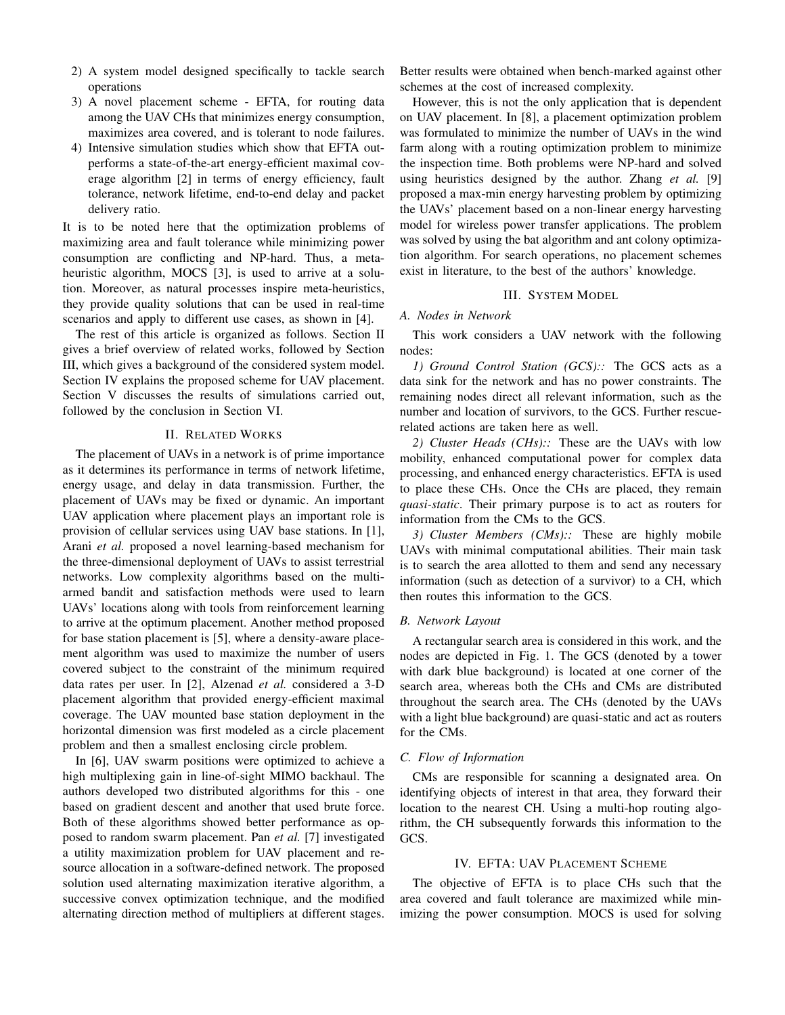- 2) A system model designed specifically to tackle search operations
- 3) A novel placement scheme EFTA, for routing data among the UAV CHs that minimizes energy consumption, maximizes area covered, and is tolerant to node failures.
- 4) Intensive simulation studies which show that EFTA outperforms a state-of-the-art energy-efficient maximal coverage algorithm [2] in terms of energy efficiency, fault tolerance, network lifetime, end-to-end delay and packet delivery ratio.

It is to be noted here that the optimization problems of maximizing area and fault tolerance while minimizing power consumption are conflicting and NP-hard. Thus, a metaheuristic algorithm, MOCS [3], is used to arrive at a solution. Moreover, as natural processes inspire meta-heuristics, they provide quality solutions that can be used in real-time scenarios and apply to different use cases, as shown in [4].

The rest of this article is organized as follows. Section II gives a brief overview of related works, followed by Section III, which gives a background of the considered system model. Section IV explains the proposed scheme for UAV placement. Section V discusses the results of simulations carried out, followed by the conclusion in Section VI.

## II. RELATED WORKS

The placement of UAVs in a network is of prime importance as it determines its performance in terms of network lifetime, energy usage, and delay in data transmission. Further, the placement of UAVs may be fixed or dynamic. An important UAV application where placement plays an important role is provision of cellular services using UAV base stations. In [1], Arani *et al.* proposed a novel learning-based mechanism for the three-dimensional deployment of UAVs to assist terrestrial networks. Low complexity algorithms based on the multiarmed bandit and satisfaction methods were used to learn UAVs' locations along with tools from reinforcement learning to arrive at the optimum placement. Another method proposed for base station placement is [5], where a density-aware placement algorithm was used to maximize the number of users covered subject to the constraint of the minimum required data rates per user. In [2], Alzenad *et al.* considered a 3-D placement algorithm that provided energy-efficient maximal coverage. The UAV mounted base station deployment in the horizontal dimension was first modeled as a circle placement problem and then a smallest enclosing circle problem.

In [6], UAV swarm positions were optimized to achieve a high multiplexing gain in line-of-sight MIMO backhaul. The authors developed two distributed algorithms for this - one based on gradient descent and another that used brute force. Both of these algorithms showed better performance as opposed to random swarm placement. Pan *et al.* [7] investigated a utility maximization problem for UAV placement and resource allocation in a software-defined network. The proposed solution used alternating maximization iterative algorithm, a successive convex optimization technique, and the modified alternating direction method of multipliers at different stages. Better results were obtained when bench-marked against other schemes at the cost of increased complexity.

However, this is not the only application that is dependent on UAV placement. In [8], a placement optimization problem was formulated to minimize the number of UAVs in the wind farm along with a routing optimization problem to minimize the inspection time. Both problems were NP-hard and solved using heuristics designed by the author. Zhang *et al.* [9] proposed a max-min energy harvesting problem by optimizing the UAVs' placement based on a non-linear energy harvesting model for wireless power transfer applications. The problem was solved by using the bat algorithm and ant colony optimization algorithm. For search operations, no placement schemes exist in literature, to the best of the authors' knowledge.

# III. SYSTEM MODEL

# *A. Nodes in Network*

This work considers a UAV network with the following nodes:

*1) Ground Control Station (GCS)::* The GCS acts as a data sink for the network and has no power constraints. The remaining nodes direct all relevant information, such as the number and location of survivors, to the GCS. Further rescuerelated actions are taken here as well.

*2) Cluster Heads (CHs)::* These are the UAVs with low mobility, enhanced computational power for complex data processing, and enhanced energy characteristics. EFTA is used to place these CHs. Once the CHs are placed, they remain *quasi-static*. Their primary purpose is to act as routers for information from the CMs to the GCS.

*3) Cluster Members (CMs)::* These are highly mobile UAVs with minimal computational abilities. Their main task is to search the area allotted to them and send any necessary information (such as detection of a survivor) to a CH, which then routes this information to the GCS.

#### *B. Network Layout*

A rectangular search area is considered in this work, and the nodes are depicted in Fig. 1. The GCS (denoted by a tower with dark blue background) is located at one corner of the search area, whereas both the CHs and CMs are distributed throughout the search area. The CHs (denoted by the UAVs with a light blue background) are quasi-static and act as routers for the CMs.

#### *C. Flow of Information*

CMs are responsible for scanning a designated area. On identifying objects of interest in that area, they forward their location to the nearest CH. Using a multi-hop routing algorithm, the CH subsequently forwards this information to the GCS.

#### IV. EFTA: UAV PLACEMENT SCHEME

The objective of EFTA is to place CHs such that the area covered and fault tolerance are maximized while minimizing the power consumption. MOCS is used for solving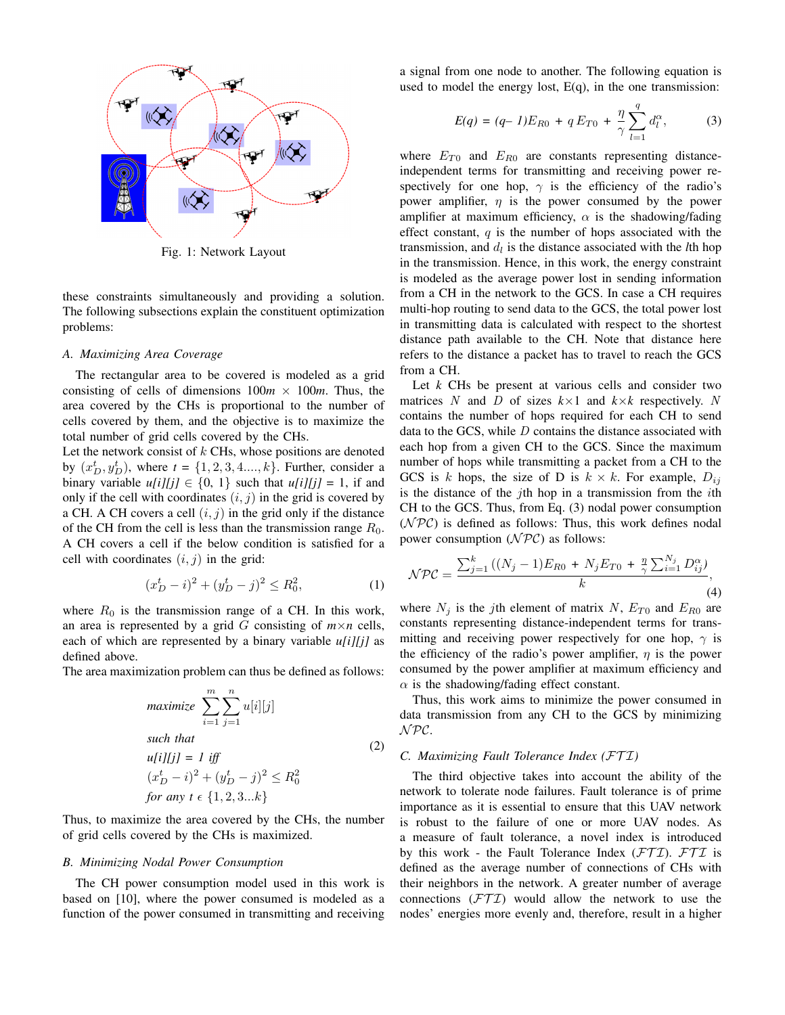

Fig. 1: Network Layout

these constraints simultaneously and providing a solution. The following subsections explain the constituent optimization problems:

#### *A. Maximizing Area Coverage*

The rectangular area to be covered is modeled as a grid consisting of cells of dimensions  $100m \times 100m$ . Thus, the area covered by the CHs is proportional to the number of cells covered by them, and the objective is to maximize the total number of grid cells covered by the CHs.

Let the network consist of  $k$  CHs, whose positions are denoted by  $(x_D^t, y_D^t)$ , where  $t = \{1, 2, 3, 4, ..., k\}$ . Further, consider a binary variable  $u[i][j] \in \{0, 1\}$  such that  $u[i][j] = 1$ , if and only if the cell with coordinates  $(i, j)$  in the grid is covered by a CH. A CH covers a cell  $(i, j)$  in the grid only if the distance of the CH from the cell is less than the transmission range  $R_0$ . A CH covers a cell if the below condition is satisfied for a cell with coordinates  $(i, j)$  in the grid:

$$
(x_D^t - i)^2 + (y_D^t - j)^2 \le R_0^2,\tag{1}
$$

where  $R_0$  is the transmission range of a CH. In this work, an area is represented by a grid  $G$  consisting of  $m \times n$  cells, each of which are represented by a binary variable *u[i][j]* as defined above.

The area maximization problem can thus be defined as follows:

$$
\begin{aligned}\n\text{maximize} & \sum_{i=1}^{m} \sum_{j=1}^{n} u[i][j] \\
\text{such that} \\
& u[i][j] = 1 \text{ iff} \\
& (x_D^t - i)^2 + (y_D^t - j)^2 \le R_0^2 \\
\text{for any } t \in \{1, 2, 3 \dots k\}\n\end{aligned}\n\tag{2}
$$

Thus, to maximize the area covered by the CHs, the number of grid cells covered by the CHs is maximized.

#### *B. Minimizing Nodal Power Consumption*

The CH power consumption model used in this work is based on [10], where the power consumed is modeled as a function of the power consumed in transmitting and receiving a signal from one node to another. The following equation is used to model the energy lost,  $E(q)$ , in the one transmission:

$$
E(q) = (q - 1)E_{R0} + q E_{T0} + \frac{\eta}{\gamma} \sum_{l=1}^{q} d_l^{\alpha},
$$
 (3)

where  $E_{T0}$  and  $E_{R0}$  are constants representing distanceindependent terms for transmitting and receiving power respectively for one hop,  $\gamma$  is the efficiency of the radio's power amplifier,  $\eta$  is the power consumed by the power amplifier at maximum efficiency,  $\alpha$  is the shadowing/fading effect constant,  $q$  is the number of hops associated with the transmission, and  $d_l$  is the distance associated with the *l*th hop in the transmission. Hence, in this work, the energy constraint is modeled as the average power lost in sending information from a CH in the network to the GCS. In case a CH requires multi-hop routing to send data to the GCS, the total power lost in transmitting data is calculated with respect to the shortest distance path available to the CH. Note that distance here refers to the distance a packet has to travel to reach the GCS from a CH.

Let *k* CHs be present at various cells and consider two matrices N and D of sizes  $k \times 1$  and  $k \times k$  respectively. N contains the number of hops required for each CH to send data to the GCS, while  $D$  contains the distance associated with each hop from a given CH to the GCS. Since the maximum number of hops while transmitting a packet from a CH to the GCS is k hops, the size of D is  $k \times k$ . For example,  $D_{ij}$ is the distance of the jth hop in a transmission from the  $i$ th CH to the GCS. Thus, from Eq. (3) nodal power consumption  $(NPC)$  is defined as follows: Thus, this work defines nodal power consumption  $(\mathcal{NPC})$  as follows:

$$
\mathcal{NPC} = \frac{\sum_{j=1}^{k} ((N_j - 1)E_{R0} + N_j E_{T0} + \frac{\eta}{\gamma} \sum_{i=1}^{N_j} D_{ij}^{\alpha})}{k},
$$
\n(4)

where  $N_i$  is the jth element of matrix N,  $E_{T0}$  and  $E_{R0}$  are constants representing distance-independent terms for transmitting and receiving power respectively for one hop,  $\gamma$  is the efficiency of the radio's power amplifier,  $\eta$  is the power consumed by the power amplifier at maximum efficiency and  $\alpha$  is the shadowing/fading effect constant.

Thus, this work aims to minimize the power consumed in data transmission from any CH to the GCS by minimizing N PC.

## *C. Maximizing Fault Tolerance Index (*FT I*)*

The third objective takes into account the ability of the network to tolerate node failures. Fault tolerance is of prime importance as it is essential to ensure that this UAV network is robust to the failure of one or more UAV nodes. As a measure of fault tolerance, a novel index is introduced by this work - the Fault Tolerance Index  $(FTI)$ .  $FTI$  is defined as the average number of connections of CHs with their neighbors in the network. A greater number of average connections  $(FTI)$  would allow the network to use the nodes' energies more evenly and, therefore, result in a higher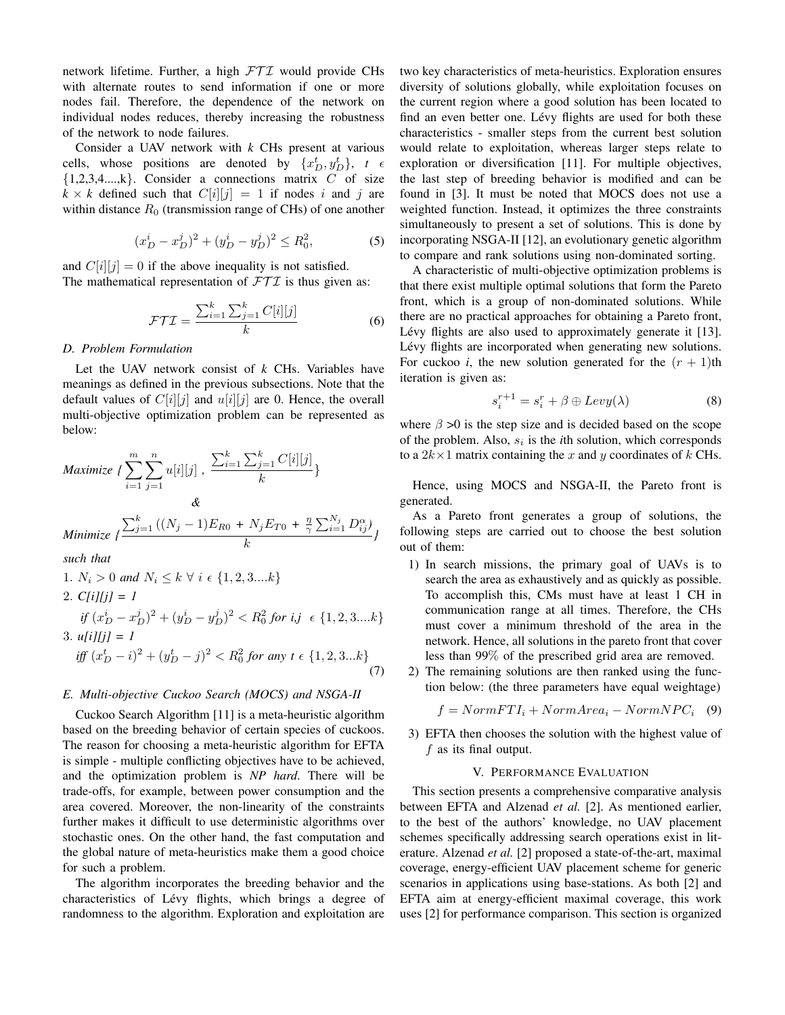network lifetime. Further, a high  $FTI$  would provide CHs with alternate routes to send information if one or more nodes fail. Therefore, the dependence of the network on individual nodes reduces, thereby increasing the robustness of the network to node failures.

Consider a UAV network with *k* CHs present at various cells, whose positions are denoted by  $\{x_D^t, y_D^t\}$ ,  $t \in$  $\{1,2,3,4,...,k\}$ . Consider a connections matrix C of size  $k \times k$  defined such that  $C[i][j] = 1$  if nodes i and j are within distance  $R_0$  (transmission range of CHs) of one another

$$
(x_D^i - x_D^j)^2 + (y_D^i - y_D^j)^2 \le R_0^2,\tag{5}
$$

and  $C[i][j] = 0$  if the above inequality is not satisfied. The mathematical representation of  $FTI$  is thus given as:

$$
\mathcal{FTI} = \frac{\sum_{i=1}^{k} \sum_{j=1}^{k} C[i][j]}{k} \tag{6}
$$

# *D. Problem Formulation*

Let the UAV network consist of *k* CHs. Variables have meanings as defined in the previous subsections. Note that the default values of  $C[i][j]$  and  $u[i][j]$  are 0. Hence, the overall multi-objective optimization problem can be represented as below:

$$
\begin{aligned}\n\text{Maximize } & \{ \sum_{i=1}^{m} \sum_{j=1}^{n} u[i][j] \}, \frac{\sum_{i=1}^{k} \sum_{j=1}^{k} C[i][j]}{k} \} \\
& \& \& \& \& \text{Minimize } \{ \frac{\sum_{j=1}^{k} \left( (N_j - 1)E_{R0} + N_j E_{T0} + \frac{\eta}{\gamma} \sum_{i=1}^{N_j} D_{ij}^{\alpha} \right)}{k} \} \\
& \text{such that}\n\end{aligned}
$$

*such that*

- 1.  $N_i > 0$  *and*  $N_i \leq k \ \forall i \ \epsilon \ \{1, 2, 3, \ldots k\}$ 2. *C[i][j] = 1 if*  $(x_D^i - x_D^j)^2 + (y_D^i - y_D^j)^2 < R_0^2$  *for i,j*  $\epsilon \{1, 2, 3....k\}$
- 3.  $u[i][j] = 1$ *iff*  $(x_D^t - i)^2 + (y_D^t - j)^2 < R_0^2$  for any  $t \in \{1, 2, 3...k\}$ (7)

## *E. Multi-objective Cuckoo Search (MOCS) and NSGA-II*

Cuckoo Search Algorithm [11] is a meta-heuristic algorithm based on the breeding behavior of certain species of cuckoos. The reason for choosing a meta-heuristic algorithm for EFTA is simple - multiple conflicting objectives have to be achieved, and the optimization problem is *NP hard*. There will be trade-offs, for example, between power consumption and the area covered. Moreover, the non-linearity of the constraints further makes it difficult to use deterministic algorithms over stochastic ones. On the other hand, the fast computation and the global nature of meta-heuristics make them a good choice for such a problem.

The algorithm incorporates the breeding behavior and the characteristics of Lévy flights, which brings a degree of randomness to the algorithm. Exploration and exploitation are two key characteristics of meta-heuristics. Exploration ensures diversity of solutions globally, while exploitation focuses on the current region where a good solution has been located to find an even better one. Lévy flights are used for both these characteristics - smaller steps from the current best solution would relate to exploitation, whereas larger steps relate to exploration or diversification [11]. For multiple objectives, the last step of breeding behavior is modified and can be found in [3]. It must be noted that MOCS does not use a weighted function. Instead, it optimizes the three constraints simultaneously to present a set of solutions. This is done by incorporating NSGA-II [12], an evolutionary genetic algorithm to compare and rank solutions using non-dominated sorting.

A characteristic of multi-objective optimization problems is that there exist multiple optimal solutions that form the Pareto front, which is a group of non-dominated solutions. While there are no practical approaches for obtaining a Pareto front, Lévy flights are also used to approximately generate it [13]. Lévy flights are incorporated when generating new solutions. For cuckoo *i*, the new solution generated for the  $(r + 1)$ th iteration is given as:

$$
s_i^{r+1} = s_i^r + \beta \oplus Levy(\lambda)
$$
 (8)

where  $\beta > 0$  is the step size and is decided based on the scope of the problem. Also,  $s_i$  is the *i*th solution, which corresponds to a  $2k \times 1$  matrix containing the x and y coordinates of k CHs.

Hence, using MOCS and NSGA-II, the Pareto front is generated.

As a Pareto front generates a group of solutions, the following steps are carried out to choose the best solution out of them:

- 1) In search missions, the primary goal of UAVs is to search the area as exhaustively and as quickly as possible. To accomplish this, CMs must have at least 1 CH in communication range at all times. Therefore, the CHs must cover a minimum threshold of the area in the network. Hence, all solutions in the pareto front that cover less than 99% of the prescribed grid area are removed.
- 2) The remaining solutions are then ranked using the function below: (the three parameters have equal weightage)

$$
f = NormFTI_i + NormArea_i - NormNPC_i \quad (9)
$$

3) EFTA then chooses the solution with the highest value of  $f$  as its final output.

## V. PERFORMANCE EVALUATION

This section presents a comprehensive comparative analysis between EFTA and Alzenad *et al.* [2]. As mentioned earlier, to the best of the authors' knowledge, no UAV placement schemes specifically addressing search operations exist in literature. Alzenad *et al.* [2] proposed a state-of-the-art, maximal coverage, energy-efficient UAV placement scheme for generic scenarios in applications using base-stations. As both [2] and EFTA aim at energy-efficient maximal coverage, this work uses [2] for performance comparison. This section is organized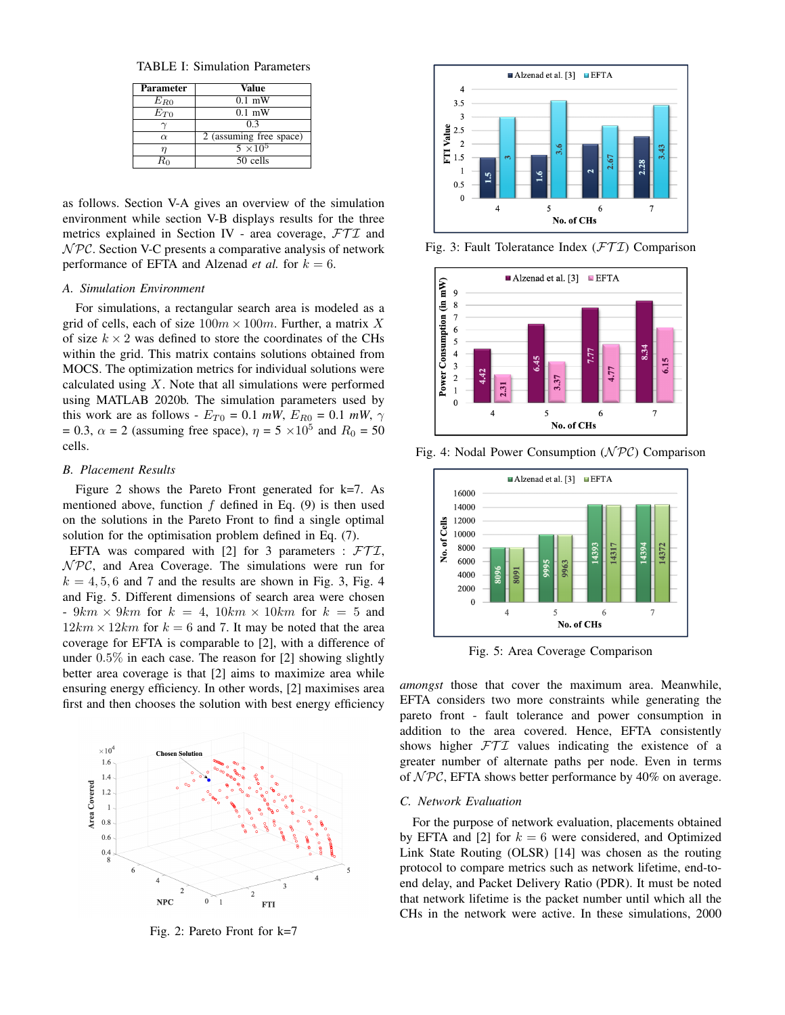TABLE I: Simulation Parameters

| <b>Parameter</b> | Value                   |  |
|------------------|-------------------------|--|
| $E_{R0}$         | $0.1$ mW                |  |
| $E_{T0}$         | $0.1$ mW                |  |
|                  | 0.3                     |  |
| $\alpha$         | 2 (assuming free space) |  |
|                  | $5 \times 10^5$         |  |
|                  | 50 cells                |  |

as follows. Section V-A gives an overview of the simulation environment while section V-B displays results for the three metrics explained in Section IV - area coverage,  $FTI$  and  $NPC$ . Section V-C presents a comparative analysis of network performance of EFTA and Alzenad *et al.* for  $k = 6$ .

## *A. Simulation Environment*

For simulations, a rectangular search area is modeled as a grid of cells, each of size  $100m \times 100m$ . Further, a matrix X of size  $k \times 2$  was defined to store the coordinates of the CHs within the grid. This matrix contains solutions obtained from MOCS. The optimization metrics for individual solutions were calculated using  $X$ . Note that all simulations were performed using MATLAB 2020b. The simulation parameters used by this work are as follows -  $E_{T0} = 0.1$  *mW*,  $E_{R0} = 0.1$  *mW*,  $\gamma$  $= 0.3$ ,  $\alpha = 2$  (assuming free space),  $\eta = 5 \times 10^5$  and  $R_0 = 50$ cells.

#### *B. Placement Results*

Figure 2 shows the Pareto Front generated for k=7. As mentioned above, function  $f$  defined in Eq. (9) is then used on the solutions in the Pareto Front to find a single optimal solution for the optimisation problem defined in Eq. (7).

EFTA was compared with [2] for 3 parameters :  $FTI$ ,  $NPC$ , and Area Coverage. The simulations were run for  $k = 4, 5, 6$  and 7 and the results are shown in Fig. 3, Fig. 4 and Fig. 5. Different dimensions of search area were chosen -  $9km \times 9km$  for  $k = 4$ ,  $10km \times 10km$  for  $k = 5$  and  $12km \times 12km$  for  $k = 6$  and 7. It may be noted that the area coverage for EFTA is comparable to [2], with a difference of under 0.5% in each case. The reason for [2] showing slightly better area coverage is that [2] aims to maximize area while ensuring energy efficiency. In other words, [2] maximises area first and then chooses the solution with best energy efficiency



Fig. 2: Pareto Front for k=7



Fig. 3: Fault Toleratance Index  $(\mathcal{FTI})$  Comparison



Fig. 4: Nodal Power Consumption  $(\mathcal{NPC})$  Comparison



Fig. 5: Area Coverage Comparison

*amongst* those that cover the maximum area. Meanwhile, EFTA considers two more constraints while generating the pareto front - fault tolerance and power consumption in addition to the area covered. Hence, EFTA consistently shows higher  $FTI$  values indicating the existence of a greater number of alternate paths per node. Even in terms of  $NPC$ , EFTA shows better performance by 40% on average.

# *C. Network Evaluation*

For the purpose of network evaluation, placements obtained by EFTA and [2] for  $k = 6$  were considered, and Optimized Link State Routing (OLSR) [14] was chosen as the routing protocol to compare metrics such as network lifetime, end-toend delay, and Packet Delivery Ratio (PDR). It must be noted that network lifetime is the packet number until which all the CHs in the network were active. In these simulations, 2000